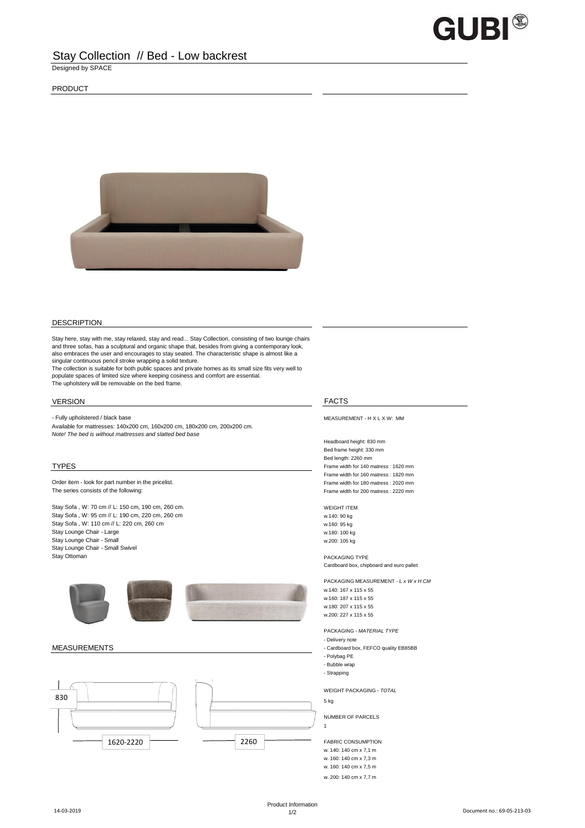

# Stay Collection // Bed - Low backrest

Designed by SPACE

## PRODUCT



### DESCRIPTION

Stay here, stay with me, stay relaxed, stay and read... Stay Collection, consisting of two lounge chairs and three sofas, has a sculptural and organic shape that, besides from giving a contemporary look, also embraces the user and encourages to stay seated. The characteristic shape is almost like a singular continuous pencil stroke wrapping a solid texture.

The collection is suitable for both public spaces and private homes as its small size fits very well to populate spaces of limited size where keeping cosiness and comfort are essential. The upholstery will be removable on the bed frame.

# **VERSION** FACTS

- Fully upholstered / black base MEASUREMENT - H X L X W: MM Available for mattresses: 140x200 cm, 160x200 cm, 180x200 cm, 200x200 cm. *Note! The bed is without mattresses and slatted bed base* 

Order item - look for part number in the pricelist. The state of the state of the state of the pricelist. The state of the pricelist. The series consists of the following: Frame width for 200 matress : 2220 mm

Stay Sofa, W: 70 cm // L: 150 cm, 190 cm, 260 cm. WEIGHT ITEM Stay Sofa, W: 95 cm // L: 190 cm, 220 cm, 260 cm w.140: 90 kg Stay Sofa , W: 110 cm // L: 220 cm, 260 cm<br>
Stay Lounge Chair - Large w.180: 100 kg Stay Lounge Chair - Large w.180: 100 kg<br>
Stay Lounge Chair - Small Website w.200: 105 kg<br>
w.200: 105 kg Stay Lounge Chair - Small Stay Lounge Chair - Small Swivel Stay Ottoman **PACKAGING TYPE** 





Headboard height: 830 mm Bed frame height: 330 mm Bed length: 2260 mm TYPES Frame width for 140 matress : 1620 mm Frame width for 160 matress : 1820 mm

Cardboard box, chipboard and euro pallet

PACKAGING MEASUREMENT - *L x W x H CM*

w.140: 167 x 115 x 55 w.160: 187 x 115 x 55 w.180: 207 x 115 x 55 w.200: 227 x 115 x 55

PACKAGING - *MATERIAL TYPE*

- Delivery note
- MEASUREMENTS Cardboard box, FEFCO quality EB85BB
	- Polybag PE
	- Bubble wrap - Strapping
	-

WEIGHT PACKAGING - *TOTAL* 5 kg

NUMBER OF PARCELS

1

FABRIC CONSUMPTION w. 140: 140 cm x 7,1 m w. 160: 140 cm x 7,3 m w. 160: 140 cm x 7,5 m

w. 200: 140 cm x 7,7 m